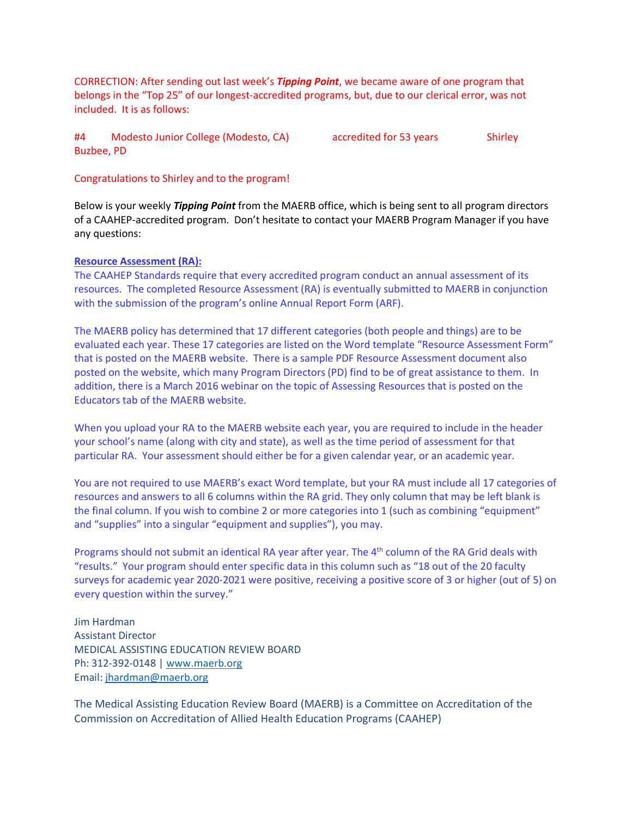CORRECTION: After sending out last week's *Tipping Point*, we became aware of one program that belongs in the "Top 25" of our longest-accredited programs, but, due to our clerical error, was not included. It is as follows:

#4 Modesto Junior College (Modesto, CA) accredited for 53 years Shirley Buzbee, PD

Congratulations to Shirley and to the program!

Below is your weekly *Tipping Point* from the MAERB office, which is being sent to all program directors of a CAAHEP-accredited program. Don't hesitate to contact your MAERB Program Manager if you have any questions:

## **Resource Assessment (RA):**

The CAAHEP Standards require that every accredited program conduct an annual assessment of its resources. The completed Resource Assessment (RA) is eventually submitted to MAERB in conjunction with the submission of the program's online Annual Report Form (ARF).

The MAERB policy has determined that 17 different categories (both people and things) are to be evaluated each year. These 17 categories are listed on the Word template "Resource Assessment Form" that is posted on the MAERB website. There is a sample PDF Resource Assessment document also posted on the website, which many Program Directors (PD) find to be of great assistance to them. In addition, there is a March 2016 webinar on the topic of Assessing Resources that is posted on the Educators tab of the MAERB website.

When you upload your RA to the MAERB website each year, you are required to include in the header your school's name (along with city and state), as well as the time period of assessment for that particular RA. Your assessment should either be for a given calendar year, or an academic year.

You are not required to use MAERB's exact Word template, but your RA must include all 17 categories of resources and answers to all 6 columns within the RA grid. They only column that may be left blank is the final column. If you wish to combine 2 or more categories into 1 (such as combining "equipment" and "supplies" into a singular "equipment and supplies"), you may.

Programs should not submit an identical RA year after year. The 4<sup>th</sup> column of the RA Grid deals with "results." Your program should enter specific data in this column such as "18 out of the 20 faculty surveys for academic year 2020-2021 were positive, receiving a positive score of 3 or higher (out of 5) on every question within the survey."

Jim Hardman Assistant Director MEDICAL ASSISTING EDUCATION REVIEW BOARD Ph: 312-392-0148 | [www.maerb.org](http://www.maerb.org/) Email: [jhardman@maerb.org](mailto:jhardman@maerb.org)

The Medical Assisting Education Review Board (MAERB) is a Committee on Accreditation of the Commission on Accreditation of Allied Health Education Programs (CAAHEP)